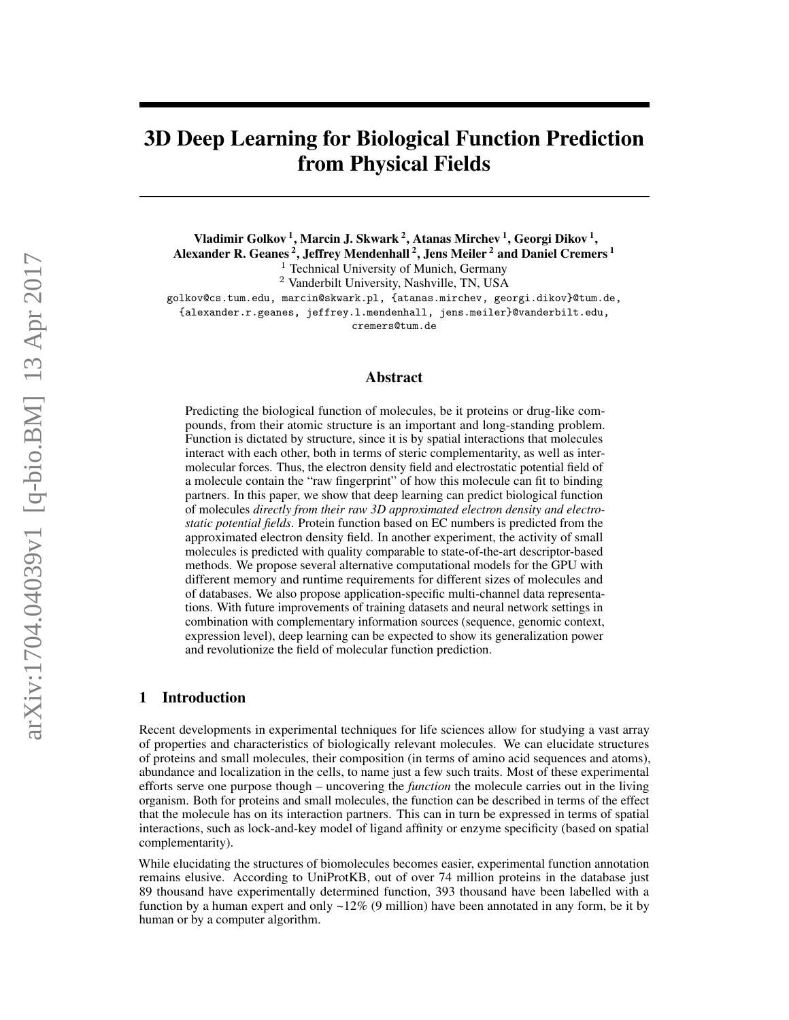# 3D Deep Learning for Biological Function Prediction from Physical Fields

Vladimir Golkov <sup>1</sup>, Marcin J. Skwark <sup>2</sup>, Atanas Mirchev <sup>1</sup>, Georgi Dikov <sup>1</sup>, Alexander R. Geanes <sup>2</sup>, Jeffrey Mendenhall <sup>2</sup>, Jens Meiler <sup>2</sup> and Daniel Cremers <sup>1</sup> <sup>1</sup> Technical University of Munich, Germany

<sup>2</sup> Vanderbilt University, Nashville, TN, USA

golkov@cs.tum.edu, marcin@skwark.pl, {atanas.mirchev, georgi.dikov}@tum.de, {alexander.r.geanes, jeffrey.l.mendenhall, jens.meiler}@vanderbilt.edu, cremers@tum.de

## Abstract

Predicting the biological function of molecules, be it proteins or drug-like compounds, from their atomic structure is an important and long-standing problem. Function is dictated by structure, since it is by spatial interactions that molecules interact with each other, both in terms of steric complementarity, as well as intermolecular forces. Thus, the electron density field and electrostatic potential field of a molecule contain the "raw fingerprint" of how this molecule can fit to binding partners. In this paper, we show that deep learning can predict biological function of molecules *directly from their raw 3D approximated electron density and electrostatic potential fields*. Protein function based on EC numbers is predicted from the approximated electron density field. In another experiment, the activity of small molecules is predicted with quality comparable to state-of-the-art descriptor-based methods. We propose several alternative computational models for the GPU with different memory and runtime requirements for different sizes of molecules and of databases. We also propose application-specific multi-channel data representations. With future improvements of training datasets and neural network settings in combination with complementary information sources (sequence, genomic context, expression level), deep learning can be expected to show its generalization power and revolutionize the field of molecular function prediction.

# 1 Introduction

Recent developments in experimental techniques for life sciences allow for studying a vast array of properties and characteristics of biologically relevant molecules. We can elucidate structures of proteins and small molecules, their composition (in terms of amino acid sequences and atoms), abundance and localization in the cells, to name just a few such traits. Most of these experimental efforts serve one purpose though – uncovering the *function* the molecule carries out in the living organism. Both for proteins and small molecules, the function can be described in terms of the effect that the molecule has on its interaction partners. This can in turn be expressed in terms of spatial interactions, such as lock-and-key model of ligand affinity or enzyme specificity (based on spatial complementarity).

While elucidating the structures of biomolecules becomes easier, experimental function annotation remains elusive. According to UniProtKB, out of over 74 million proteins in the database just 89 thousand have experimentally determined function, 393 thousand have been labelled with a function by a human expert and only  $\sim$ 12% (9 million) have been annotated in any form, be it by human or by a computer algorithm.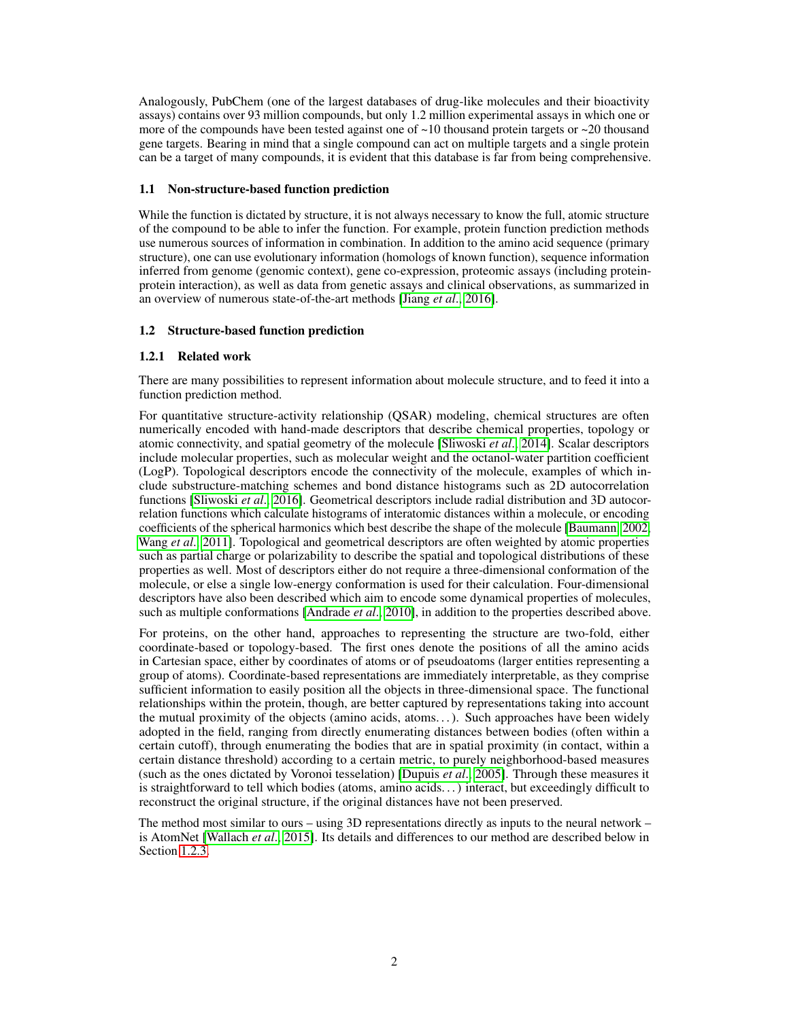Analogously, PubChem (one of the largest databases of drug-like molecules and their bioactivity assays) contains over 93 million compounds, but only 1.2 million experimental assays in which one or more of the compounds have been tested against one of  $\sim$ 10 thousand protein targets or  $\sim$ 20 thousand gene targets. Bearing in mind that a single compound can act on multiple targets and a single protein can be a target of many compounds, it is evident that this database is far from being comprehensive.

## 1.1 Non-structure-based function prediction

While the function is dictated by structure, it is not always necessary to know the full, atomic structure of the compound to be able to infer the function. For example, protein function prediction methods use numerous sources of information in combination. In addition to the amino acid sequence (primary structure), one can use evolutionary information (homologs of known function), sequence information inferred from genome (genomic context), gene co-expression, proteomic assays (including proteinprotein interaction), as well as data from genetic assays and clinical observations, as summarized in an overview of numerous state-of-the-art methods [\[Jiang](#page-12-0) *et al*., [2016\]](#page-12-0).

# 1.2 Structure-based function prediction

# 1.2.1 Related work

There are many possibilities to represent information about molecule structure, and to feed it into a function prediction method.

For quantitative structure-activity relationship (QSAR) modeling, chemical structures are often numerically encoded with hand-made descriptors that describe chemical properties, topology or atomic connectivity, and spatial geometry of the molecule [\[Sliwoski](#page-13-0) *et al*., [2014\]](#page-13-0). Scalar descriptors include molecular properties, such as molecular weight and the octanol-water partition coefficient (LogP). Topological descriptors encode the connectivity of the molecule, examples of which include substructure-matching schemes and bond distance histograms such as 2D autocorrelation functions [\[Sliwoski](#page-13-1) *et al*., [2016\]](#page-13-1). Geometrical descriptors include radial distribution and 3D autocorrelation functions which calculate histograms of interatomic distances within a molecule, or encoding coefficients of the spherical harmonics which best describe the shape of the molecule [\[Baumann, 2002,](#page-12-1) [Wang](#page-13-2) *et al*., [2011\]](#page-13-2). Topological and geometrical descriptors are often weighted by atomic properties such as partial charge or polarizability to describe the spatial and topological distributions of these properties as well. Most of descriptors either do not require a three-dimensional conformation of the molecule, or else a single low-energy conformation is used for their calculation. Four-dimensional descriptors have also been described which aim to encode some dynamical properties of molecules, such as multiple conformations [\[Andrade](#page-12-2) *et al*., [2010\]](#page-12-2), in addition to the properties described above.

For proteins, on the other hand, approaches to representing the structure are two-fold, either coordinate-based or topology-based. The first ones denote the positions of all the amino acids in Cartesian space, either by coordinates of atoms or of pseudoatoms (larger entities representing a group of atoms). Coordinate-based representations are immediately interpretable, as they comprise sufficient information to easily position all the objects in three-dimensional space. The functional relationships within the protein, though, are better captured by representations taking into account the mutual proximity of the objects (amino acids, atoms. . . ). Such approaches have been widely adopted in the field, ranging from directly enumerating distances between bodies (often within a certain cutoff), through enumerating the bodies that are in spatial proximity (in contact, within a certain distance threshold) according to a certain metric, to purely neighborhood-based measures (such as the ones dictated by Voronoi tesselation) [\[Dupuis](#page-12-3) *et al*., [2005\]](#page-12-3). Through these measures it is straightforward to tell which bodies (atoms, amino acids. . . ) interact, but exceedingly difficult to reconstruct the original structure, if the original distances have not been preserved.

The method most similar to ours – using 3D representations directly as inputs to the neural network – is AtomNet [\[Wallach](#page-13-3) *et al*., [2015\]](#page-13-3). Its details and differences to our method are described below in Section [1.2.3.](#page-3-0)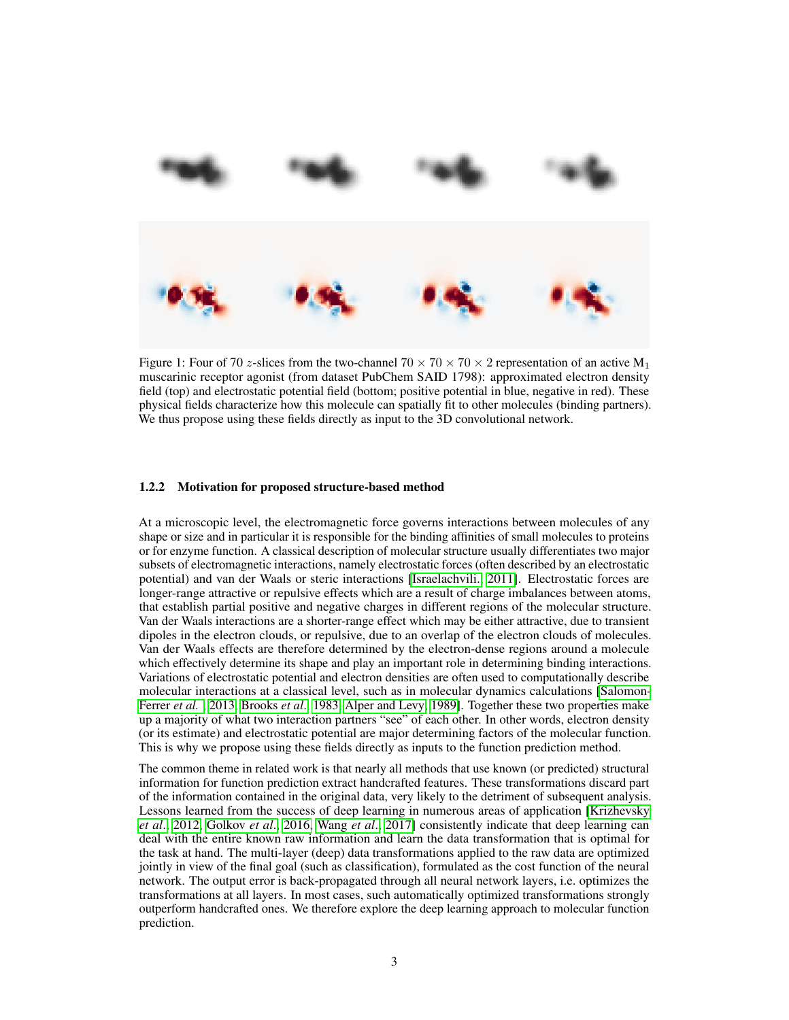<span id="page-2-0"></span>

Figure 1: Four of 70 z-slices from the two-channel  $70 \times 70 \times 70 \times 2$  representation of an active M<sub>1</sub> muscarinic receptor agonist (from dataset PubChem SAID 1798): approximated electron density field (top) and electrostatic potential field (bottom; positive potential in blue, negative in red). These physical fields characterize how this molecule can spatially fit to other molecules (binding partners). We thus propose using these fields directly as input to the 3D convolutional network.

#### 1.2.2 Motivation for proposed structure-based method

At a microscopic level, the electromagnetic force governs interactions between molecules of any shape or size and in particular it is responsible for the binding affinities of small molecules to proteins or for enzyme function. A classical description of molecular structure usually differentiates two major subsets of electromagnetic interactions, namely electrostatic forces (often described by an electrostatic potential) and van der Waals or steric interactions [\[Israelachvili., 2011\]](#page-12-4). Electrostatic forces are longer-range attractive or repulsive effects which are a result of charge imbalances between atoms, that establish partial positive and negative charges in different regions of the molecular structure. Van der Waals interactions are a shorter-range effect which may be either attractive, due to transient dipoles in the electron clouds, or repulsive, due to an overlap of the electron clouds of molecules. Van der Waals effects are therefore determined by the electron-dense regions around a molecule which effectively determine its shape and play an important role in determining binding interactions. Variations of electrostatic potential and electron densities are often used to computationally describe molecular interactions at a classical level, such as in molecular dynamics calculations [\[Salomon-](#page-13-4)[Ferrer](#page-13-4) *et al.* , [2013,](#page-13-4) [Brooks](#page-12-5) *et al*., [1983,](#page-12-5) [Alper and Levy, 1989\]](#page-12-6). Together these two properties make up a majority of what two interaction partners "see" of each other. In other words, electron density (or its estimate) and electrostatic potential are major determining factors of the molecular function. This is why we propose using these fields directly as inputs to the function prediction method.

The common theme in related work is that nearly all methods that use known (or predicted) structural information for function prediction extract handcrafted features. These transformations discard part of the information contained in the original data, very likely to the detriment of subsequent analysis. Lessons learned from the success of deep learning in numerous areas of application [\[Krizhevsky](#page-12-7) *[et al](#page-12-7)*., [2012,](#page-12-7) [Golkov](#page-12-8) *et al*., [2016,](#page-12-8) [Wang](#page-13-5) *et al*., [2017\]](#page-13-5) consistently indicate that deep learning can deal with the entire known raw information and learn the data transformation that is optimal for the task at hand. The multi-layer (deep) data transformations applied to the raw data are optimized jointly in view of the final goal (such as classification), formulated as the cost function of the neural network. The output error is back-propagated through all neural network layers, i.e. optimizes the transformations at all layers. In most cases, such automatically optimized transformations strongly outperform handcrafted ones. We therefore explore the deep learning approach to molecular function prediction.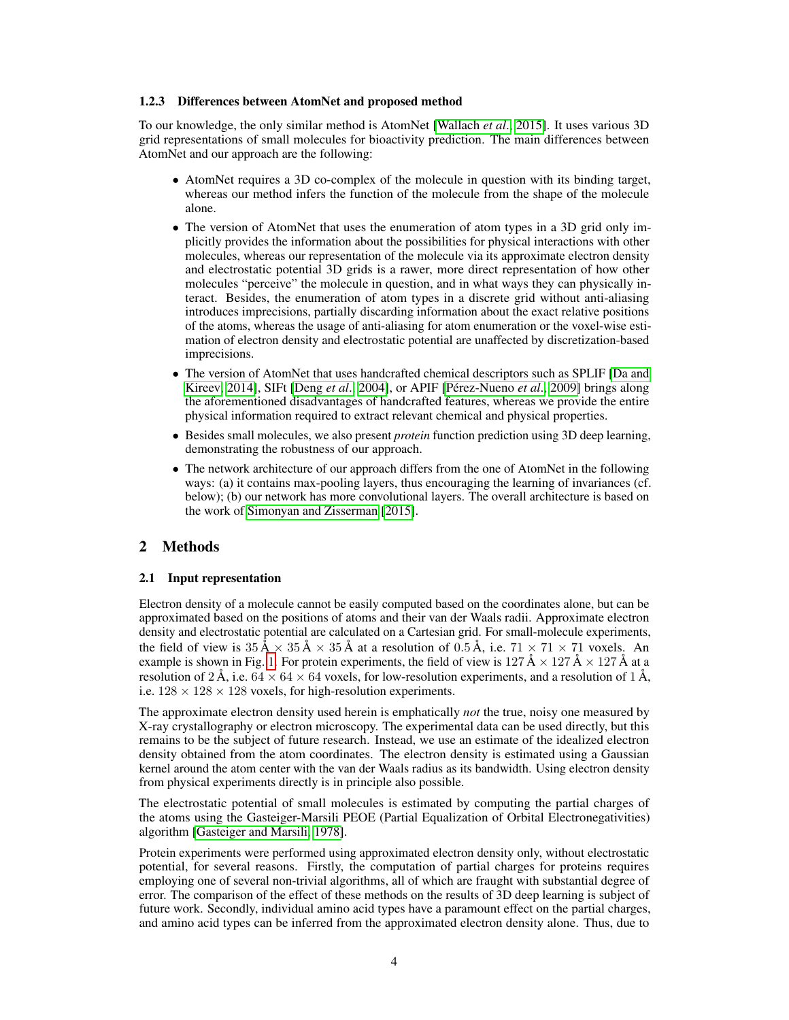#### <span id="page-3-0"></span>1.2.3 Differences between AtomNet and proposed method

To our knowledge, the only similar method is AtomNet [\[Wallach](#page-13-3) *et al*., [2015\]](#page-13-3). It uses various 3D grid representations of small molecules for bioactivity prediction. The main differences between AtomNet and our approach are the following:

- AtomNet requires a 3D co-complex of the molecule in question with its binding target, whereas our method infers the function of the molecule from the shape of the molecule alone.
- The version of AtomNet that uses the enumeration of atom types in a 3D grid only implicitly provides the information about the possibilities for physical interactions with other molecules, whereas our representation of the molecule via its approximate electron density and electrostatic potential 3D grids is a rawer, more direct representation of how other molecules "perceive" the molecule in question, and in what ways they can physically interact. Besides, the enumeration of atom types in a discrete grid without anti-aliasing introduces imprecisions, partially discarding information about the exact relative positions of the atoms, whereas the usage of anti-aliasing for atom enumeration or the voxel-wise estimation of electron density and electrostatic potential are unaffected by discretization-based imprecisions.
- The version of AtomNet that uses handcrafted chemical descriptors such as SPLIF [\[Da and](#page-12-9) [Kireev, 2014\]](#page-12-9), SIFt [\[Deng](#page-12-10) *et al*., [2004\]](#page-12-10), or APIF [\[Pérez-Nueno](#page-13-6) *et al*., [2009\]](#page-13-6) brings along the aforementioned disadvantages of handcrafted features, whereas we provide the entire physical information required to extract relevant chemical and physical properties.
- Besides small molecules, we also present *protein* function prediction using 3D deep learning, demonstrating the robustness of our approach.
- The network architecture of our approach differs from the one of AtomNet in the following ways: (a) it contains max-pooling layers, thus encouraging the learning of invariances (cf. below); (b) our network has more convolutional layers. The overall architecture is based on the work of [Simonyan and Zisserman](#page-13-7) [\[2015\]](#page-13-7).

# 2 Methods

#### 2.1 Input representation

Electron density of a molecule cannot be easily computed based on the coordinates alone, but can be approximated based on the positions of atoms and their van der Waals radii. Approximate electron density and electrostatic potential are calculated on a Cartesian grid. For small-molecule experiments, the field of view is  $35 \text{ Å} \times 35 \text{ Å} \times 35 \text{ Å}$  at a resolution of 0.5 Å, i.e.  $71 \times 71 \times 71$  voxels. An example is shown in Fig. [1.](#page-2-0) For protein experiments, the field of view is  $127 \text{ Å} \times 127 \text{ Å} \times 127 \text{ Å}$  at a resolution of 2 Å, i.e.  $64 \times 64 \times 64$  voxels, for low-resolution experiments, and a resolution of 1 Å, i.e.  $128 \times 128 \times 128$  voxels, for high-resolution experiments.

The approximate electron density used herein is emphatically *not* the true, noisy one measured by X-ray crystallography or electron microscopy. The experimental data can be used directly, but this remains to be the subject of future research. Instead, we use an estimate of the idealized electron density obtained from the atom coordinates. The electron density is estimated using a Gaussian kernel around the atom center with the van der Waals radius as its bandwidth. Using electron density from physical experiments directly is in principle also possible.

The electrostatic potential of small molecules is estimated by computing the partial charges of the atoms using the Gasteiger-Marsili PEOE (Partial Equalization of Orbital Electronegativities) algorithm [\[Gasteiger and Marsili, 1978\]](#page-12-11).

Protein experiments were performed using approximated electron density only, without electrostatic potential, for several reasons. Firstly, the computation of partial charges for proteins requires employing one of several non-trivial algorithms, all of which are fraught with substantial degree of error. The comparison of the effect of these methods on the results of 3D deep learning is subject of future work. Secondly, individual amino acid types have a paramount effect on the partial charges, and amino acid types can be inferred from the approximated electron density alone. Thus, due to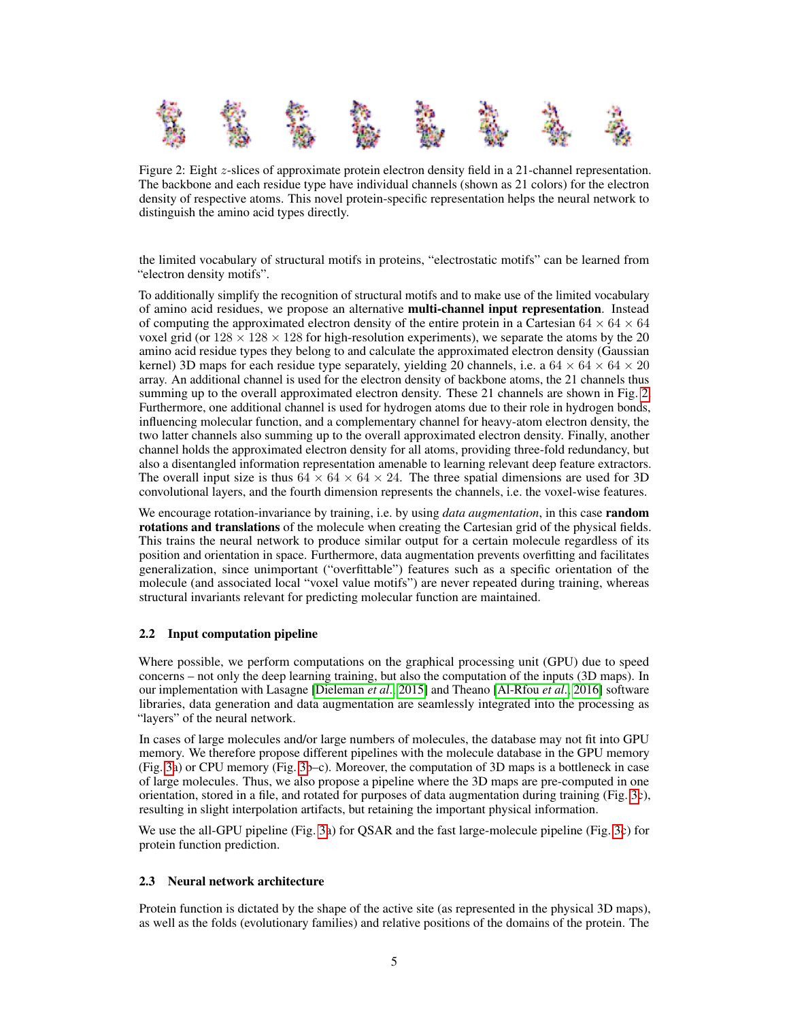<span id="page-4-0"></span>

Figure 2: Eight z-slices of approximate protein electron density field in a 21-channel representation. The backbone and each residue type have individual channels (shown as 21 colors) for the electron density of respective atoms. This novel protein-specific representation helps the neural network to distinguish the amino acid types directly.

the limited vocabulary of structural motifs in proteins, "electrostatic motifs" can be learned from "electron density motifs".

To additionally simplify the recognition of structural motifs and to make use of the limited vocabulary of amino acid residues, we propose an alternative multi-channel input representation. Instead of computing the approximated electron density of the entire protein in a Cartesian  $64 \times 64 \times 64$ voxel grid (or  $128 \times 128 \times 128$  for high-resolution experiments), we separate the atoms by the 20 amino acid residue types they belong to and calculate the approximated electron density (Gaussian kernel) 3D maps for each residue type separately, yielding 20 channels, i.e. a  $64 \times 64 \times 20$ array. An additional channel is used for the electron density of backbone atoms, the 21 channels thus summing up to the overall approximated electron density. These 21 channels are shown in Fig. [2.](#page-4-0) Furthermore, one additional channel is used for hydrogen atoms due to their role in hydrogen bonds, influencing molecular function, and a complementary channel for heavy-atom electron density, the two latter channels also summing up to the overall approximated electron density. Finally, another channel holds the approximated electron density for all atoms, providing three-fold redundancy, but also a disentangled information representation amenable to learning relevant deep feature extractors. The overall input size is thus  $64 \times 64 \times 24$ . The three spatial dimensions are used for 3D convolutional layers, and the fourth dimension represents the channels, i.e. the voxel-wise features.

We encourage rotation-invariance by training, i.e. by using *data augmentation*, in this case random rotations and translations of the molecule when creating the Cartesian grid of the physical fields. This trains the neural network to produce similar output for a certain molecule regardless of its position and orientation in space. Furthermore, data augmentation prevents overfitting and facilitates generalization, since unimportant ("overfittable") features such as a specific orientation of the molecule (and associated local "voxel value motifs") are never repeated during training, whereas structural invariants relevant for predicting molecular function are maintained.

# <span id="page-4-1"></span>2.2 Input computation pipeline

Where possible, we perform computations on the graphical processing unit (GPU) due to speed concerns – not only the deep learning training, but also the computation of the inputs (3D maps). In our implementation with Lasagne [\[Dieleman](#page-12-12) *et al*., [2015\]](#page-12-12) and Theano [\[Al-Rfou](#page-12-13) *et al*., [2016\]](#page-12-13) software libraries, data generation and data augmentation are seamlessly integrated into the processing as "layers" of the neural network.

In cases of large molecules and/or large numbers of molecules, the database may not fit into GPU memory. We therefore propose different pipelines with the molecule database in the GPU memory (Fig. [3a](#page-5-0)) or CPU memory (Fig. [3b](#page-5-0)–c). Moreover, the computation of 3D maps is a bottleneck in case of large molecules. Thus, we also propose a pipeline where the 3D maps are pre-computed in one orientation, stored in a file, and rotated for purposes of data augmentation during training (Fig. [3c](#page-5-0)), resulting in slight interpolation artifacts, but retaining the important physical information.

We use the all-GPU pipeline (Fig. [3a](#page-5-0)) for QSAR and the fast large-molecule pipeline (Fig. [3c](#page-5-0)) for protein function prediction.

# 2.3 Neural network architecture

Protein function is dictated by the shape of the active site (as represented in the physical 3D maps), as well as the folds (evolutionary families) and relative positions of the domains of the protein. The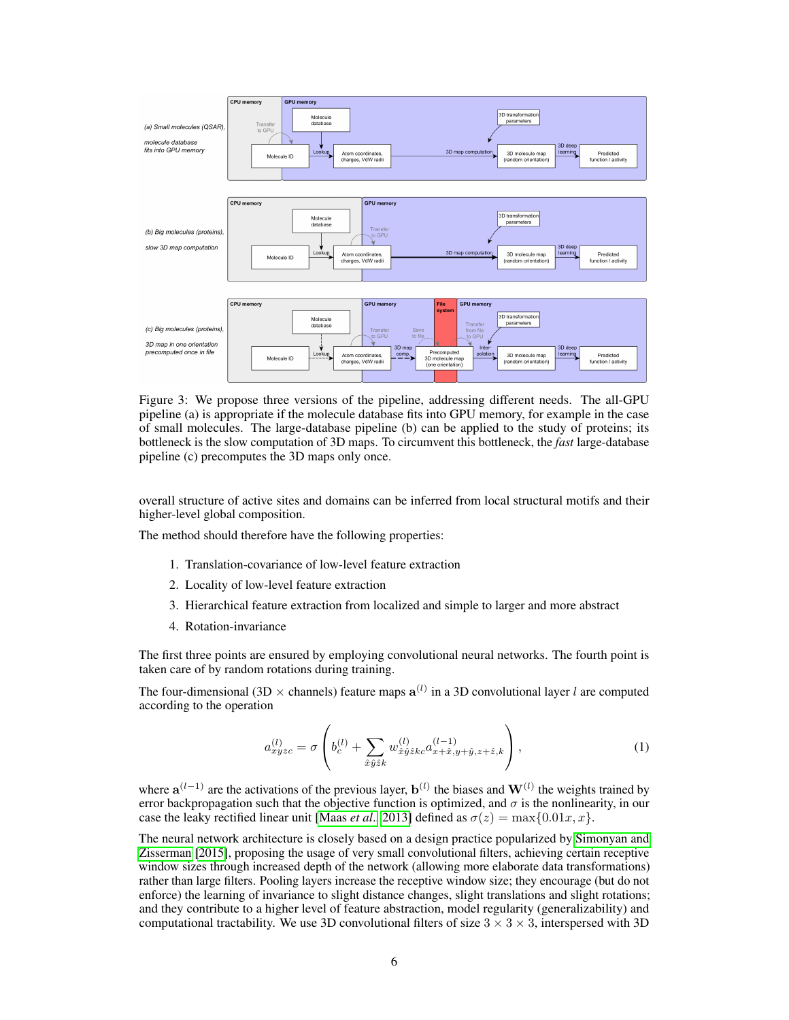<span id="page-5-0"></span>

Figure 3: We propose three versions of the pipeline, addressing different needs. The all-GPU pipeline (a) is appropriate if the molecule database fits into GPU memory, for example in the case of small molecules. The large-database pipeline (b) can be applied to the study of proteins; its bottleneck is the slow computation of 3D maps. To circumvent this bottleneck, the *fast* large-database pipeline (c) precomputes the 3D maps only once.

overall structure of active sites and domains can be inferred from local structural motifs and their higher-level global composition.

The method should therefore have the following properties:

- 1. Translation-covariance of low-level feature extraction
- 2. Locality of low-level feature extraction
- 3. Hierarchical feature extraction from localized and simple to larger and more abstract
- 4. Rotation-invariance

The first three points are ensured by employing convolutional neural networks. The fourth point is taken care of by random rotations during training.

The four-dimensional (3D  $\times$  channels) feature maps  $a^{(l)}$  in a 3D convolutional layer l are computed according to the operation

$$
a_{xyzc}^{(l)} = \sigma \left( b_c^{(l)} + \sum_{\hat{x}\hat{y}\hat{z}k} w_{\hat{x}\hat{y}\hat{z}kc}^{(l)} a_{x+\hat{x},y+\hat{y},z+\hat{z},k}^{(l-1)} \right),
$$
\n(1)

where  $a^{(l-1)}$  are the activations of the previous layer,  $b^{(l)}$  the biases and  $W^{(l)}$  the weights trained by error backpropagation such that the objective function is optimized, and  $\sigma$  is the nonlinearity, in our case the leaky rectified linear unit [\[Maas](#page-12-14) *et al.*, [2013\]](#page-12-14) defined as  $\sigma(z) = \max\{0.01x, x\}.$ 

The neural network architecture is closely based on a design practice popularized by [Simonyan and](#page-13-7) [Zisserman](#page-13-7) [\[2015\]](#page-13-7), proposing the usage of very small convolutional filters, achieving certain receptive window sizes through increased depth of the network (allowing more elaborate data transformations) rather than large filters. Pooling layers increase the receptive window size; they encourage (but do not enforce) the learning of invariance to slight distance changes, slight translations and slight rotations; and they contribute to a higher level of feature abstraction, model regularity (generalizability) and computational tractability. We use 3D convolutional filters of size  $3 \times 3 \times 3$ , interspersed with 3D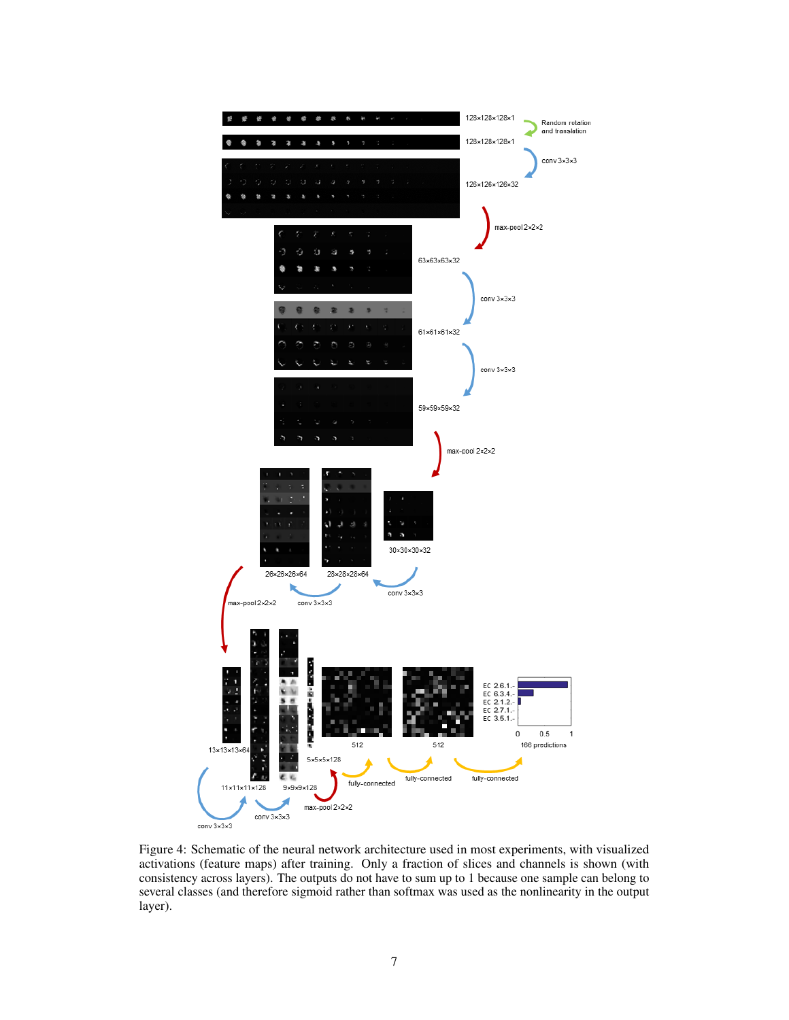<span id="page-6-0"></span>

Figure 4: Schematic of the neural network architecture used in most experiments, with visualized activations (feature maps) after training. Only a fraction of slices and channels is shown (with consistency across layers). The outputs do not have to sum up to 1 because one sample can belong to several classes (and therefore sigmoid rather than softmax was used as the nonlinearity in the output layer).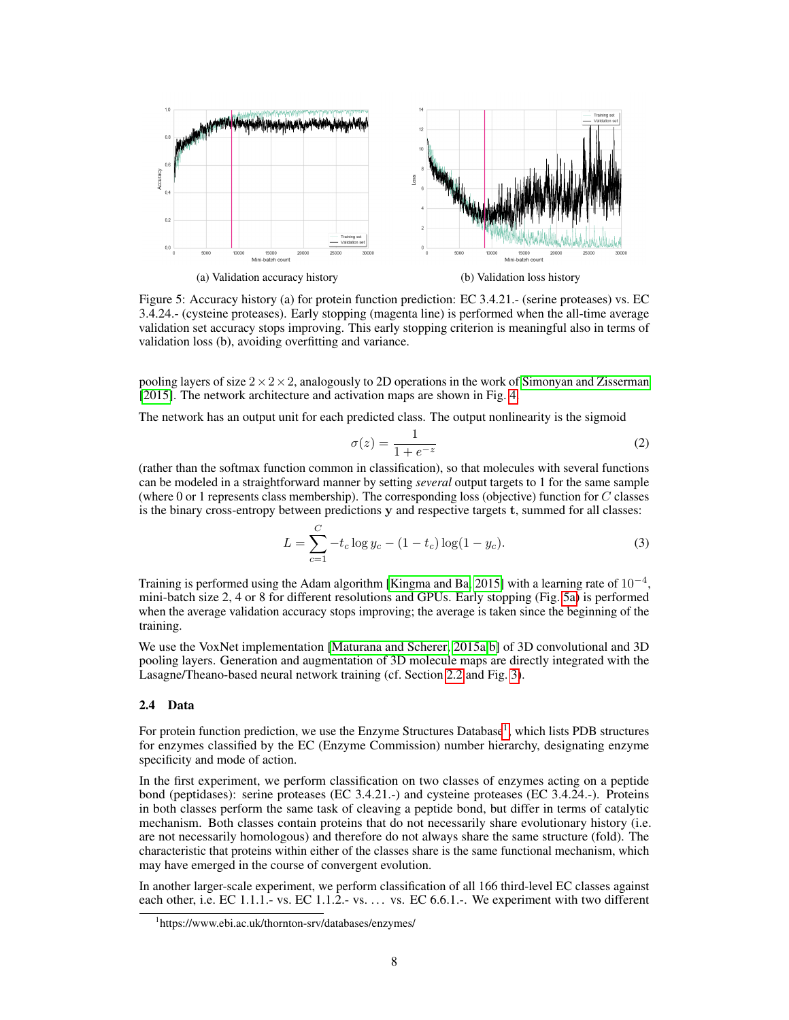<span id="page-7-0"></span>

Figure 5: Accuracy history (a) for protein function prediction: EC 3.4.21.- (serine proteases) vs. EC 3.4.24.- (cysteine proteases). Early stopping (magenta line) is performed when the all-time average validation set accuracy stops improving. This early stopping criterion is meaningful also in terms of validation loss (b), avoiding overfitting and variance.

pooling layers of size  $2 \times 2 \times 2$ , analogously to 2D operations in the work of [Simonyan and Zisserman](#page-13-7) [\[2015\]](#page-13-7). The network architecture and activation maps are shown in Fig. [4.](#page-6-0)

The network has an output unit for each predicted class. The output nonlinearity is the sigmoid

$$
\sigma(z) = \frac{1}{1 + e^{-z}}\tag{2}
$$

(rather than the softmax function common in classification), so that molecules with several functions can be modeled in a straightforward manner by setting *several* output targets to 1 for the same sample (where 0 or 1 represents class membership). The corresponding loss (objective) function for  $C$  classes is the binary cross-entropy between predictions y and respective targets t, summed for all classes:

$$
L = \sum_{c=1}^{C} -t_c \log y_c - (1 - t_c) \log(1 - y_c).
$$
 (3)

Training is performed using the Adam algorithm [\[Kingma and Ba, 2015\]](#page-12-15) with a learning rate of  $10^{-4}$ , mini-batch size 2, 4 or 8 for different resolutions and GPUs. Early stopping (Fig. [5a\)](#page-7-0) is performed when the average validation accuracy stops improving; the average is taken since the beginning of the training.

We use the VoxNet implementation [\[Maturana and Scherer, 2015a,](#page-12-16)[b\]](#page-12-17) of 3D convolutional and 3D pooling layers. Generation and augmentation of 3D molecule maps are directly integrated with the Lasagne/Theano-based neural network training (cf. Section [2.2](#page-4-1) and Fig. [3\)](#page-5-0).

#### 2.4 Data

For protein function prediction, we use the Enzyme Structures Database<sup>[1](#page-7-1)</sup>, which lists PDB structures for enzymes classified by the EC (Enzyme Commission) number hierarchy, designating enzyme specificity and mode of action.

In the first experiment, we perform classification on two classes of enzymes acting on a peptide bond (peptidases): serine proteases (EC 3.4.21.-) and cysteine proteases (EC 3.4.24.-). Proteins in both classes perform the same task of cleaving a peptide bond, but differ in terms of catalytic mechanism. Both classes contain proteins that do not necessarily share evolutionary history (i.e. are not necessarily homologous) and therefore do not always share the same structure (fold). The characteristic that proteins within either of the classes share is the same functional mechanism, which may have emerged in the course of convergent evolution.

In another larger-scale experiment, we perform classification of all 166 third-level EC classes against each other, i.e. EC 1.1.1.- vs. EC 1.1.2.- vs. ... vs. EC 6.6.1.-. We experiment with two different

<span id="page-7-1"></span><sup>1</sup> https://www.ebi.ac.uk/thornton-srv/databases/enzymes/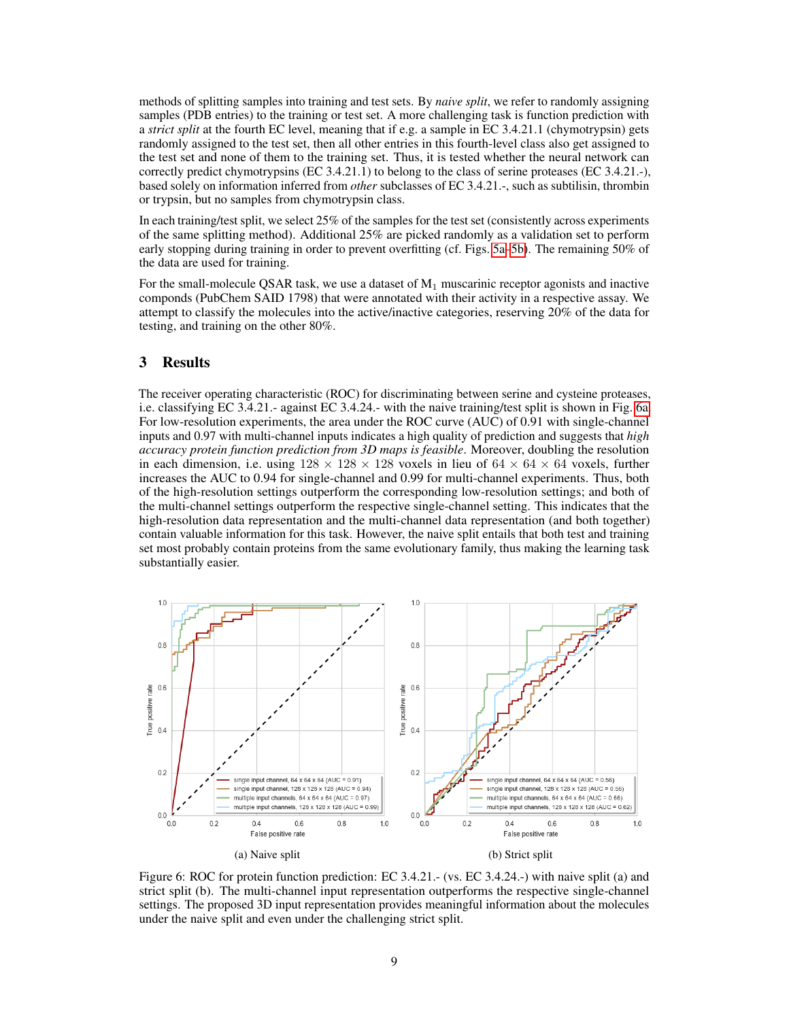methods of splitting samples into training and test sets. By *naive split*, we refer to randomly assigning samples (PDB entries) to the training or test set. A more challenging task is function prediction with a *strict split* at the fourth EC level, meaning that if e.g. a sample in EC 3.4.21.1 (chymotrypsin) gets randomly assigned to the test set, then all other entries in this fourth-level class also get assigned to the test set and none of them to the training set. Thus, it is tested whether the neural network can correctly predict chymotrypsins (EC 3.4.21.1) to belong to the class of serine proteases (EC 3.4.21.-), based solely on information inferred from *other* subclasses of EC 3.4.21.-, such as subtilisin, thrombin or trypsin, but no samples from chymotrypsin class.

In each training/test split, we select 25% of the samples for the test set (consistently across experiments of the same splitting method). Additional 25% are picked randomly as a validation set to perform early stopping during training in order to prevent overfitting (cf. Figs. [5a–5b\)](#page-7-0). The remaining 50% of the data are used for training.

For the small-molecule QSAR task, we use a dataset of  $M_1$  muscarinic receptor agonists and inactive componds (PubChem SAID 1798) that were annotated with their activity in a respective assay. We attempt to classify the molecules into the active/inactive categories, reserving 20% of the data for testing, and training on the other 80%.

# 3 Results

The receiver operating characteristic (ROC) for discriminating between serine and cysteine proteases, i.e. classifying EC 3.4.21.- against EC 3.4.24.- with the naive training/test split is shown in Fig. [6a.](#page-8-0) For low-resolution experiments, the area under the ROC curve (AUC) of 0.91 with single-channel inputs and 0.97 with multi-channel inputs indicates a high quality of prediction and suggests that *high accuracy protein function prediction from 3D maps is feasible*. Moreover, doubling the resolution in each dimension, i.e. using  $128 \times 128 \times 128$  voxels in lieu of  $64 \times 64 \times 64$  voxels, further increases the AUC to 0.94 for single-channel and 0.99 for multi-channel experiments. Thus, both of the high-resolution settings outperform the corresponding low-resolution settings; and both of the multi-channel settings outperform the respective single-channel setting. This indicates that the high-resolution data representation and the multi-channel data representation (and both together) contain valuable information for this task. However, the naive split entails that both test and training set most probably contain proteins from the same evolutionary family, thus making the learning task substantially easier.

<span id="page-8-0"></span>

Figure 6: ROC for protein function prediction: EC 3.4.21.- (vs. EC 3.4.24.-) with naive split (a) and strict split (b). The multi-channel input representation outperforms the respective single-channel settings. The proposed 3D input representation provides meaningful information about the molecules under the naive split and even under the challenging strict split.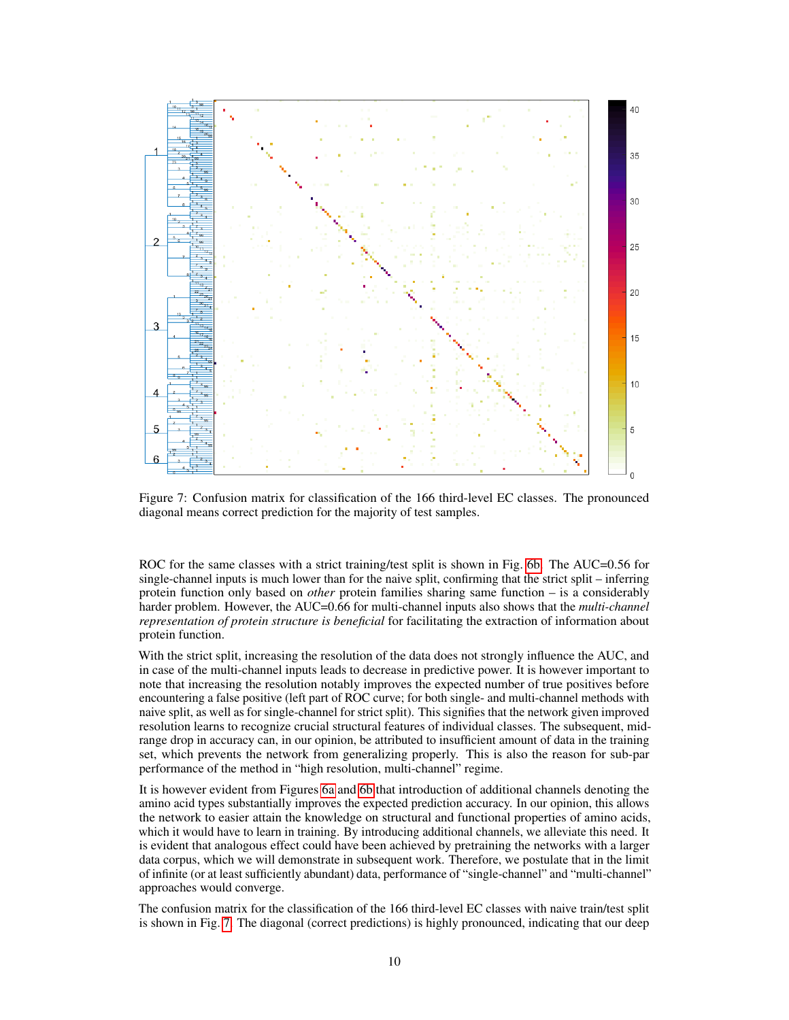<span id="page-9-0"></span>

Figure 7: Confusion matrix for classification of the 166 third-level EC classes. The pronounced diagonal means correct prediction for the majority of test samples.

ROC for the same classes with a strict training/test split is shown in Fig. [6b.](#page-8-0) The AUC=0.56 for single-channel inputs is much lower than for the naive split, confirming that the strict split – inferring protein function only based on *other* protein families sharing same function – is a considerably harder problem. However, the AUC=0.66 for multi-channel inputs also shows that the *multi-channel representation of protein structure is beneficial* for facilitating the extraction of information about protein function.

With the strict split, increasing the resolution of the data does not strongly influence the AUC, and in case of the multi-channel inputs leads to decrease in predictive power. It is however important to note that increasing the resolution notably improves the expected number of true positives before encountering a false positive (left part of ROC curve; for both single- and multi-channel methods with naive split, as well as for single-channel for strict split). This signifies that the network given improved resolution learns to recognize crucial structural features of individual classes. The subsequent, midrange drop in accuracy can, in our opinion, be attributed to insufficient amount of data in the training set, which prevents the network from generalizing properly. This is also the reason for sub-par performance of the method in "high resolution, multi-channel" regime.

It is however evident from Figures [6a](#page-8-0) and [6b](#page-8-0) that introduction of additional channels denoting the amino acid types substantially improves the expected prediction accuracy. In our opinion, this allows the network to easier attain the knowledge on structural and functional properties of amino acids, which it would have to learn in training. By introducing additional channels, we alleviate this need. It is evident that analogous effect could have been achieved by pretraining the networks with a larger data corpus, which we will demonstrate in subsequent work. Therefore, we postulate that in the limit of infinite (or at least sufficiently abundant) data, performance of "single-channel" and "multi-channel" approaches would converge.

The confusion matrix for the classification of the 166 third-level EC classes with naive train/test split is shown in Fig. [7.](#page-9-0) The diagonal (correct predictions) is highly pronounced, indicating that our deep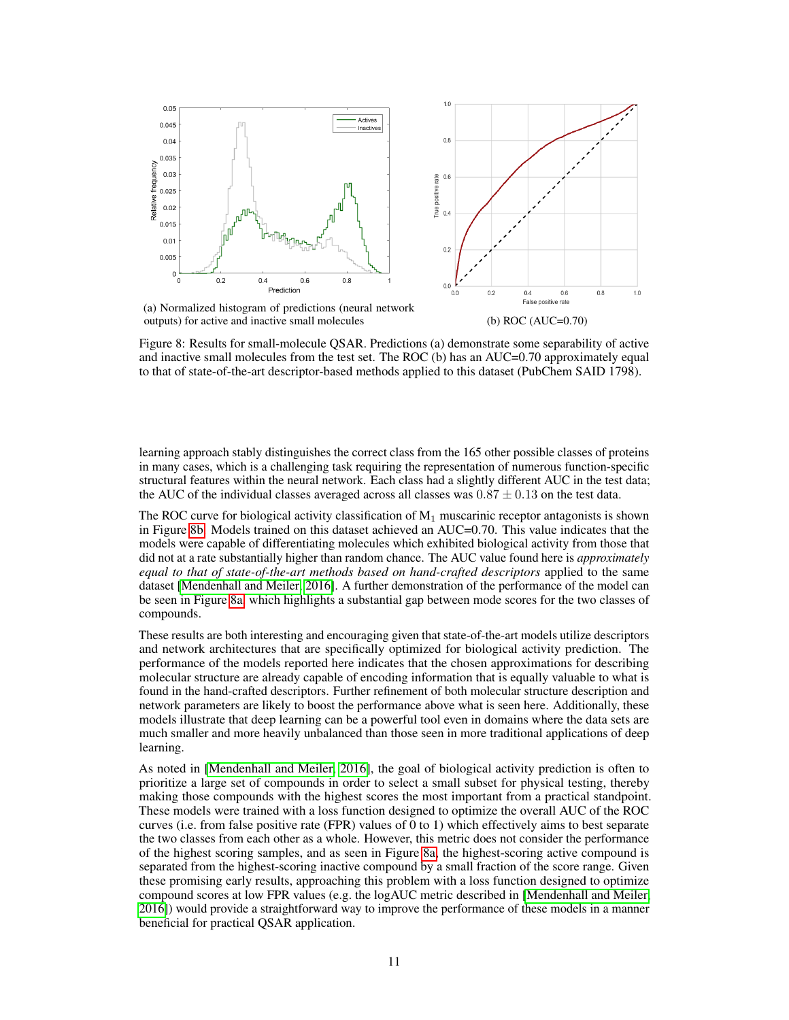<span id="page-10-0"></span>

outputs) for active and inactive small molecules (b) ROC (AUC=0.70)

Figure 8: Results for small-molecule QSAR. Predictions (a) demonstrate some separability of active and inactive small molecules from the test set. The ROC (b) has an AUC=0.70 approximately equal to that of state-of-the-art descriptor-based methods applied to this dataset (PubChem SAID 1798).

learning approach stably distinguishes the correct class from the 165 other possible classes of proteins in many cases, which is a challenging task requiring the representation of numerous function-specific structural features within the neural network. Each class had a slightly different AUC in the test data; the AUC of the individual classes averaged across all classes was  $0.87 \pm 0.13$  on the test data.

The ROC curve for biological activity classification of  $M_1$  muscarinic receptor antagonists is shown in Figure [8b.](#page-10-0) Models trained on this dataset achieved an AUC=0.70. This value indicates that the models were capable of differentiating molecules which exhibited biological activity from those that did not at a rate substantially higher than random chance. The AUC value found here is *approximately equal to that of state-of-the-art methods based on hand-crafted descriptors* applied to the same dataset [\[Mendenhall and Meiler, 2016\]](#page-12-18). A further demonstration of the performance of the model can be seen in Figure [8a,](#page-10-0) which highlights a substantial gap between mode scores for the two classes of compounds.

These results are both interesting and encouraging given that state-of-the-art models utilize descriptors and network architectures that are specifically optimized for biological activity prediction. The performance of the models reported here indicates that the chosen approximations for describing molecular structure are already capable of encoding information that is equally valuable to what is found in the hand-crafted descriptors. Further refinement of both molecular structure description and network parameters are likely to boost the performance above what is seen here. Additionally, these models illustrate that deep learning can be a powerful tool even in domains where the data sets are much smaller and more heavily unbalanced than those seen in more traditional applications of deep learning.

As noted in [\[Mendenhall and Meiler, 2016\]](#page-12-18), the goal of biological activity prediction is often to prioritize a large set of compounds in order to select a small subset for physical testing, thereby making those compounds with the highest scores the most important from a practical standpoint. These models were trained with a loss function designed to optimize the overall AUC of the ROC curves (i.e. from false positive rate (FPR) values of 0 to 1) which effectively aims to best separate the two classes from each other as a whole. However, this metric does not consider the performance of the highest scoring samples, and as seen in Figure [8a,](#page-10-0) the highest-scoring active compound is separated from the highest-scoring inactive compound by a small fraction of the score range. Given these promising early results, approaching this problem with a loss function designed to optimize compound scores at low FPR values (e.g. the logAUC metric described in [\[Mendenhall and Meiler,](#page-12-18) [2016\]](#page-12-18)) would provide a straightforward way to improve the performance of these models in a manner beneficial for practical QSAR application.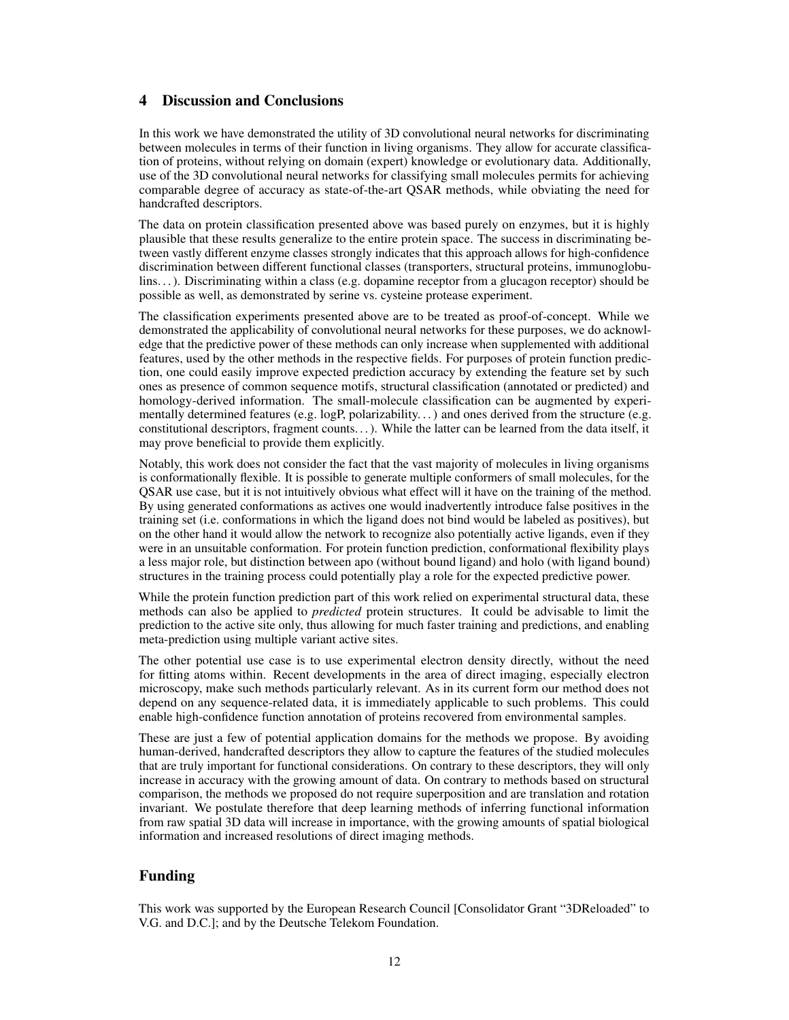# 4 Discussion and Conclusions

In this work we have demonstrated the utility of 3D convolutional neural networks for discriminating between molecules in terms of their function in living organisms. They allow for accurate classification of proteins, without relying on domain (expert) knowledge or evolutionary data. Additionally, use of the 3D convolutional neural networks for classifying small molecules permits for achieving comparable degree of accuracy as state-of-the-art QSAR methods, while obviating the need for handcrafted descriptors.

The data on protein classification presented above was based purely on enzymes, but it is highly plausible that these results generalize to the entire protein space. The success in discriminating between vastly different enzyme classes strongly indicates that this approach allows for high-confidence discrimination between different functional classes (transporters, structural proteins, immunoglobulins. . . ). Discriminating within a class (e.g. dopamine receptor from a glucagon receptor) should be possible as well, as demonstrated by serine vs. cysteine protease experiment.

The classification experiments presented above are to be treated as proof-of-concept. While we demonstrated the applicability of convolutional neural networks for these purposes, we do acknowledge that the predictive power of these methods can only increase when supplemented with additional features, used by the other methods in the respective fields. For purposes of protein function prediction, one could easily improve expected prediction accuracy by extending the feature set by such ones as presence of common sequence motifs, structural classification (annotated or predicted) and homology-derived information. The small-molecule classification can be augmented by experimentally determined features (e.g. logP, polarizability...) and ones derived from the structure (e.g. constitutional descriptors, fragment counts. . . ). While the latter can be learned from the data itself, it may prove beneficial to provide them explicitly.

Notably, this work does not consider the fact that the vast majority of molecules in living organisms is conformationally flexible. It is possible to generate multiple conformers of small molecules, for the QSAR use case, but it is not intuitively obvious what effect will it have on the training of the method. By using generated conformations as actives one would inadvertently introduce false positives in the training set (i.e. conformations in which the ligand does not bind would be labeled as positives), but on the other hand it would allow the network to recognize also potentially active ligands, even if they were in an unsuitable conformation. For protein function prediction, conformational flexibility plays a less major role, but distinction between apo (without bound ligand) and holo (with ligand bound) structures in the training process could potentially play a role for the expected predictive power.

While the protein function prediction part of this work relied on experimental structural data, these methods can also be applied to *predicted* protein structures. It could be advisable to limit the prediction to the active site only, thus allowing for much faster training and predictions, and enabling meta-prediction using multiple variant active sites.

The other potential use case is to use experimental electron density directly, without the need for fitting atoms within. Recent developments in the area of direct imaging, especially electron microscopy, make such methods particularly relevant. As in its current form our method does not depend on any sequence-related data, it is immediately applicable to such problems. This could enable high-confidence function annotation of proteins recovered from environmental samples.

These are just a few of potential application domains for the methods we propose. By avoiding human-derived, handcrafted descriptors they allow to capture the features of the studied molecules that are truly important for functional considerations. On contrary to these descriptors, they will only increase in accuracy with the growing amount of data. On contrary to methods based on structural comparison, the methods we proposed do not require superposition and are translation and rotation invariant. We postulate therefore that deep learning methods of inferring functional information from raw spatial 3D data will increase in importance, with the growing amounts of spatial biological information and increased resolutions of direct imaging methods.

# Funding

This work was supported by the European Research Council [Consolidator Grant "3DReloaded" to V.G. and D.C.]; and by the Deutsche Telekom Foundation.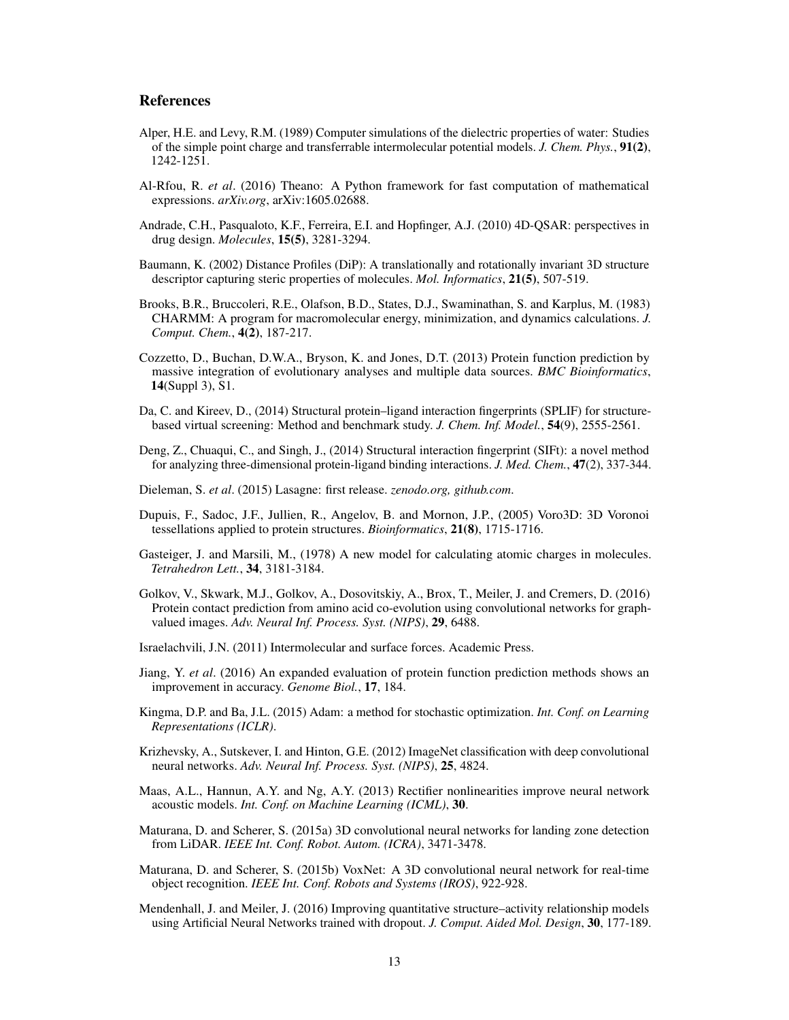# References

- <span id="page-12-6"></span>Alper, H.E. and Levy, R.M. (1989) Computer simulations of the dielectric properties of water: Studies of the simple point charge and transferrable intermolecular potential models. *J. Chem. Phys.*, 91(2), 1242-1251.
- <span id="page-12-13"></span>Al-Rfou, R. *et al*. (2016) Theano: A Python framework for fast computation of mathematical expressions. *arXiv.org*, arXiv:1605.02688.
- <span id="page-12-2"></span>Andrade, C.H., Pasqualoto, K.F., Ferreira, E.I. and Hopfinger, A.J. (2010) 4D-QSAR: perspectives in drug design. *Molecules*, 15(5), 3281-3294.
- <span id="page-12-1"></span>Baumann, K. (2002) Distance Profiles (DiP): A translationally and rotationally invariant 3D structure descriptor capturing steric properties of molecules. *Mol. Informatics*, 21(5), 507-519.
- <span id="page-12-5"></span>Brooks, B.R., Bruccoleri, R.E., Olafson, B.D., States, D.J., Swaminathan, S. and Karplus, M. (1983) CHARMM: A program for macromolecular energy, minimization, and dynamics calculations. *J. Comput. Chem.*, 4(2), 187-217.
- Cozzetto, D., Buchan, D.W.A., Bryson, K. and Jones, D.T. (2013) Protein function prediction by massive integration of evolutionary analyses and multiple data sources. *BMC Bioinformatics*, 14(Suppl 3), S1.
- <span id="page-12-9"></span>Da, C. and Kireev, D., (2014) Structural protein–ligand interaction fingerprints (SPLIF) for structurebased virtual screening: Method and benchmark study. *J. Chem. Inf. Model.*, 54(9), 2555-2561.
- <span id="page-12-10"></span>Deng, Z., Chuaqui, C., and Singh, J., (2014) Structural interaction fingerprint (SIFt): a novel method for analyzing three-dimensional protein-ligand binding interactions. *J. Med. Chem.*, 47(2), 337-344.
- <span id="page-12-12"></span>Dieleman, S. *et al*. (2015) Lasagne: first release. *zenodo.org, github.com*.
- <span id="page-12-3"></span>Dupuis, F., Sadoc, J.F., Jullien, R., Angelov, B. and Mornon, J.P., (2005) Voro3D: 3D Voronoi tessellations applied to protein structures. *Bioinformatics*, 21(8), 1715-1716.
- <span id="page-12-11"></span>Gasteiger, J. and Marsili, M., (1978) A new model for calculating atomic charges in molecules. *Tetrahedron Lett.*, 34, 3181-3184.
- <span id="page-12-8"></span>Golkov, V., Skwark, M.J., Golkov, A., Dosovitskiy, A., Brox, T., Meiler, J. and Cremers, D. (2016) Protein contact prediction from amino acid co-evolution using convolutional networks for graphvalued images. *Adv. Neural Inf. Process. Syst. (NIPS)*, 29, 6488.
- <span id="page-12-4"></span>Israelachvili, J.N. (2011) Intermolecular and surface forces. Academic Press.
- <span id="page-12-0"></span>Jiang, Y. *et al*. (2016) An expanded evaluation of protein function prediction methods shows an improvement in accuracy. *Genome Biol.*, 17, 184.
- <span id="page-12-15"></span>Kingma, D.P. and Ba, J.L. (2015) Adam: a method for stochastic optimization. *Int. Conf. on Learning Representations (ICLR)*.
- <span id="page-12-7"></span>Krizhevsky, A., Sutskever, I. and Hinton, G.E. (2012) ImageNet classification with deep convolutional neural networks. *Adv. Neural Inf. Process. Syst. (NIPS)*, 25, 4824.
- <span id="page-12-14"></span>Maas, A.L., Hannun, A.Y. and Ng, A.Y. (2013) Rectifier nonlinearities improve neural network acoustic models. *Int. Conf. on Machine Learning (ICML)*, 30.
- <span id="page-12-16"></span>Maturana, D. and Scherer, S. (2015a) 3D convolutional neural networks for landing zone detection from LiDAR. *IEEE Int. Conf. Robot. Autom. (ICRA)*, 3471-3478.
- <span id="page-12-17"></span>Maturana, D. and Scherer, S. (2015b) VoxNet: A 3D convolutional neural network for real-time object recognition. *IEEE Int. Conf. Robots and Systems (IROS)*, 922-928.
- <span id="page-12-18"></span>Mendenhall, J. and Meiler, J. (2016) Improving quantitative structure–activity relationship models using Artificial Neural Networks trained with dropout. *J. Comput. Aided Mol. Design*, 30, 177-189.